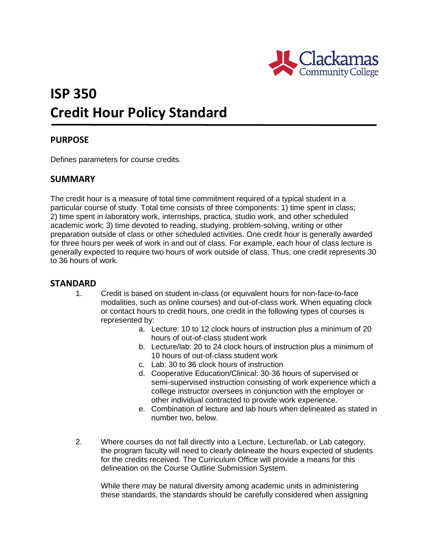

# **ISP 350 Credit Hour Policy Standard**

## **PURPOSE**

Defines parameters for course credits.

### **SUMMARY**

The credit hour is a measure of total time commitment required of a typical student in a particular course of study. Total time consists of three components: 1) time spent in class; 2) time spent in laboratory work, internships, practica, studio work, and other scheduled academic work; 3) time devoted to reading, studying, problem-solving, writing or other preparation outside of class or other scheduled activities. One credit hour is generally awarded for three hours per week of work in and out of class. For example, each hour of class lecture is generally expected to require two hours of work outside of class. Thus, one credit represents 30 to 36 hours of work.

### **STANDARD**

- 1. Credit is based on student in-class (or equivalent hours for non-face-to-face modalities, such as online courses) and out-of-class work. When equating clock or contact hours to credit hours, one credit in the following types of courses is represented by:
	- a. Lecture: 10 to 12 clock hours of instruction plus a minimum of 20 hours of out-of-class student work
	- b. Lecture/lab: 20 to 24 clock hours of instruction plus a minimum of 10 hours of out-of-class student work
	- c. Lab: 30 to 36 clock hours of instruction
	- d. Cooperative Education/Clinical: 30-36 hours of supervised or semi-supervised instruction consisting of work experience which a college instructor oversees in conjunction with the employer or other individual contracted to provide work experience.
	- e. Combination of lecture and lab hours when delineated as stated in number two, below.
- 2. Where courses do not fall directly into a Lecture, Lecture/lab, or Lab category, the program faculty will need to clearly delineate the hours expected of students for the credits received. The Curriculum Office will provide a means for this delineation on the Course Outline Submission System.

While there may be natural diversity among academic units in administering these standards, the standards should be carefully considered when assigning